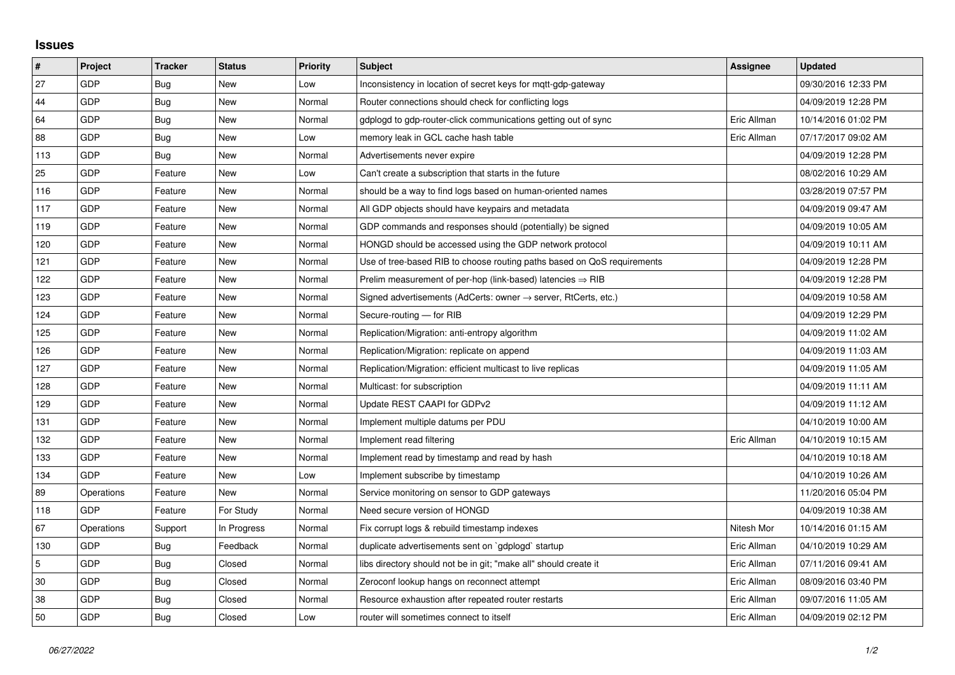## **Issues**

| #   | Project    | <b>Tracker</b> | <b>Status</b> | <b>Priority</b> | <b>Subject</b>                                                             | Assignee    | <b>Updated</b>      |
|-----|------------|----------------|---------------|-----------------|----------------------------------------------------------------------------|-------------|---------------------|
| 27  | GDP        | Bug            | <b>New</b>    | Low             | Inconsistency in location of secret keys for mgtt-gdp-gateway              |             | 09/30/2016 12:33 PM |
| 44  | GDP        | Bug            | New           | Normal          | Router connections should check for conflicting logs                       |             | 04/09/2019 12:28 PM |
| 64  | GDP        | Bug            | New           | Normal          | gdplogd to gdp-router-click communications getting out of sync             | Eric Allman | 10/14/2016 01:02 PM |
| 88  | GDP        | <b>Bug</b>     | <b>New</b>    | Low             | memory leak in GCL cache hash table                                        | Eric Allman | 07/17/2017 09:02 AM |
| 113 | GDP        | Bug            | New           | Normal          | Advertisements never expire                                                |             | 04/09/2019 12:28 PM |
| 25  | GDP        | Feature        | New           | Low             | Can't create a subscription that starts in the future                      |             | 08/02/2016 10:29 AM |
| 116 | GDP        | Feature        | <b>New</b>    | Normal          | should be a way to find logs based on human-oriented names                 |             | 03/28/2019 07:57 PM |
| 117 | GDP        | Feature        | New           | Normal          | All GDP objects should have keypairs and metadata                          |             | 04/09/2019 09:47 AM |
| 119 | GDP        | Feature        | <b>New</b>    | Normal          | GDP commands and responses should (potentially) be signed                  |             | 04/09/2019 10:05 AM |
| 120 | GDP        | Feature        | New           | Normal          | HONGD should be accessed using the GDP network protocol                    |             | 04/09/2019 10:11 AM |
| 121 | GDP        | Feature        | New           | Normal          | Use of tree-based RIB to choose routing paths based on QoS requirements    |             | 04/09/2019 12:28 PM |
| 122 | GDP        | Feature        | <b>New</b>    | Normal          | Prelim measurement of per-hop (link-based) latencies $\Rightarrow$ RIB     |             | 04/09/2019 12:28 PM |
| 123 | GDP        | Feature        | New           | Normal          | Signed advertisements (AdCerts: owner $\rightarrow$ server, RtCerts, etc.) |             | 04/09/2019 10:58 AM |
| 124 | GDP        | Feature        | New           | Normal          | Secure-routing - for RIB                                                   |             | 04/09/2019 12:29 PM |
| 125 | GDP        | Feature        | <b>New</b>    | Normal          | Replication/Migration: anti-entropy algorithm                              |             | 04/09/2019 11:02 AM |
| 126 | GDP        | Feature        | New           | Normal          | Replication/Migration: replicate on append                                 |             | 04/09/2019 11:03 AM |
| 127 | GDP        | Feature        | New           | Normal          | Replication/Migration: efficient multicast to live replicas                |             | 04/09/2019 11:05 AM |
| 128 | GDP        | Feature        | New           | Normal          | Multicast: for subscription                                                |             | 04/09/2019 11:11 AM |
| 129 | GDP        | Feature        | New           | Normal          | Update REST CAAPI for GDPv2                                                |             | 04/09/2019 11:12 AM |
| 131 | GDP        | Feature        | New           | Normal          | Implement multiple datums per PDU                                          |             | 04/10/2019 10:00 AM |
| 132 | GDP        | Feature        | New           | Normal          | Implement read filtering                                                   | Eric Allman | 04/10/2019 10:15 AM |
| 133 | GDP        | Feature        | New           | Normal          | Implement read by timestamp and read by hash                               |             | 04/10/2019 10:18 AM |
| 134 | GDP        | Feature        | <b>New</b>    | Low             | Implement subscribe by timestamp                                           |             | 04/10/2019 10:26 AM |
| 89  | Operations | Feature        | New           | Normal          | Service monitoring on sensor to GDP gateways                               |             | 11/20/2016 05:04 PM |
| 118 | GDP        | Feature        | For Study     | Normal          | Need secure version of HONGD                                               |             | 04/09/2019 10:38 AM |
| 67  | Operations | Support        | In Progress   | Normal          | Fix corrupt logs & rebuild timestamp indexes                               | Nitesh Mor  | 10/14/2016 01:15 AM |
| 130 | GDP        | Bug            | Feedback      | Normal          | duplicate advertisements sent on `gdplogd` startup                         | Eric Allman | 04/10/2019 10:29 AM |
| 5   | GDP        | <b>Bug</b>     | Closed        | Normal          | libs directory should not be in git; "make all" should create it           | Eric Allman | 07/11/2016 09:41 AM |
| 30  | GDP        | Bug            | Closed        | Normal          | Zeroconf lookup hangs on reconnect attempt                                 | Eric Allman | 08/09/2016 03:40 PM |
| 38  | GDP        | Bug            | Closed        | Normal          | Resource exhaustion after repeated router restarts                         | Eric Allman | 09/07/2016 11:05 AM |
| 50  | GDP        | Bug            | Closed        | Low             | router will sometimes connect to itself                                    | Eric Allman | 04/09/2019 02:12 PM |